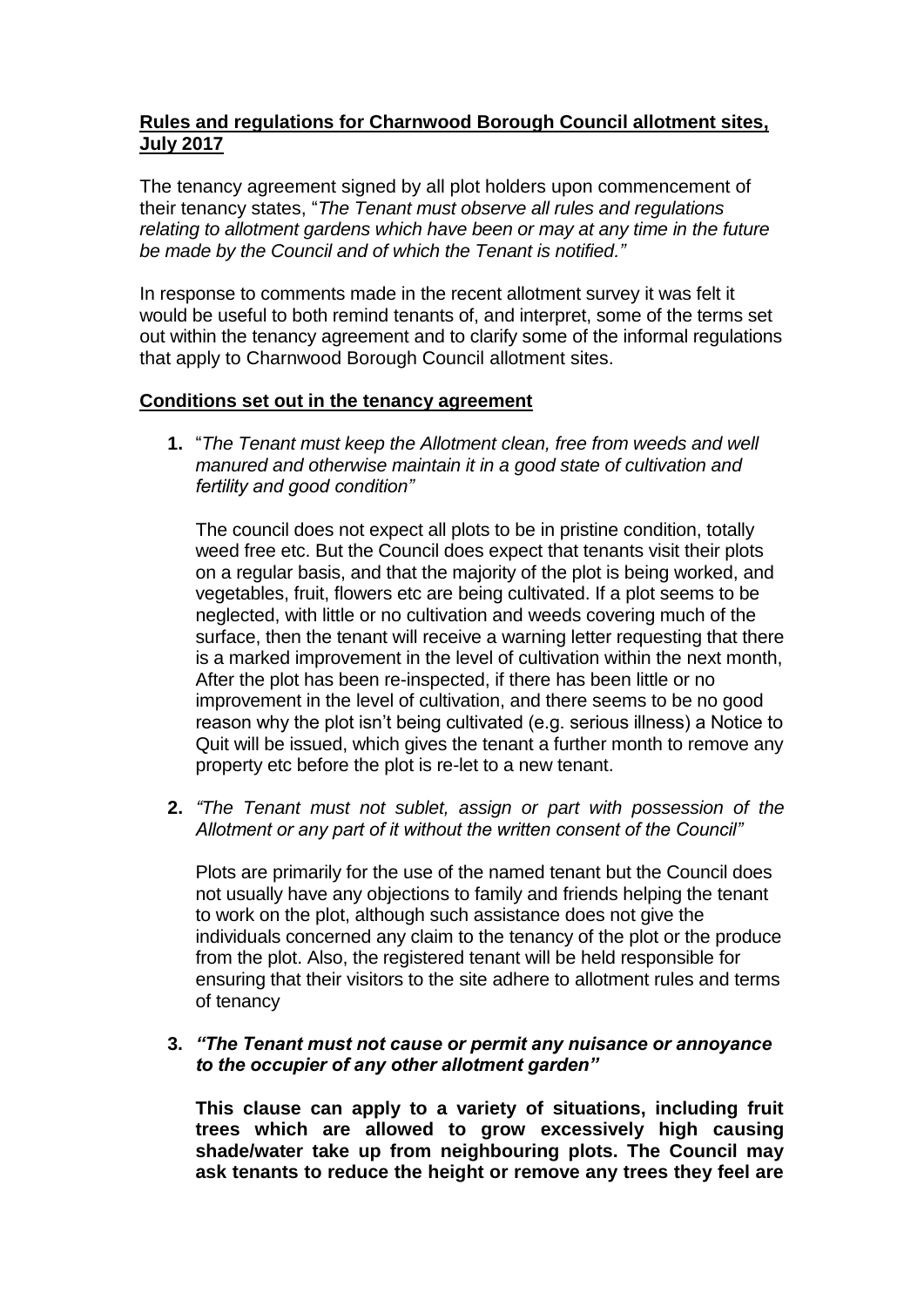## **Rules and regulations for Charnwood Borough Council allotment sites, July 2017**

The tenancy agreement signed by all plot holders upon commencement of their tenancy states, "*The Tenant must observe all rules and regulations relating to allotment gardens which have been or may at any time in the future be made by the Council and of which the Tenant is notified."* 

In response to comments made in the recent allotment survey it was felt it would be useful to both remind tenants of, and interpret, some of the terms set out within the tenancy agreement and to clarify some of the informal regulations that apply to Charnwood Borough Council allotment sites.

## **Conditions set out in the tenancy agreement**

**1.** "*The Tenant must keep the Allotment clean, free from weeds and well manured and otherwise maintain it in a good state of cultivation and fertility and good condition"*

The council does not expect all plots to be in pristine condition, totally weed free etc. But the Council does expect that tenants visit their plots on a regular basis, and that the majority of the plot is being worked, and vegetables, fruit, flowers etc are being cultivated. If a plot seems to be neglected, with little or no cultivation and weeds covering much of the surface, then the tenant will receive a warning letter requesting that there is a marked improvement in the level of cultivation within the next month, After the plot has been re-inspected, if there has been little or no improvement in the level of cultivation, and there seems to be no good reason why the plot isn't being cultivated (e.g. serious illness) a Notice to Quit will be issued, which gives the tenant a further month to remove any property etc before the plot is re-let to a new tenant.

**2.** *"The Tenant must not sublet, assign or part with possession of the Allotment or any part of it without the written consent of the Council"*

Plots are primarily for the use of the named tenant but the Council does not usually have any objections to family and friends helping the tenant to work on the plot, although such assistance does not give the individuals concerned any claim to the tenancy of the plot or the produce from the plot. Also, the registered tenant will be held responsible for ensuring that their visitors to the site adhere to allotment rules and terms of tenancy

## **3.** *"The Tenant must not cause or permit any nuisance or annoyance to the occupier of any other allotment garden"*

**This clause can apply to a variety of situations, including fruit trees which are allowed to grow excessively high causing shade/water take up from neighbouring plots. The Council may ask tenants to reduce the height or remove any trees they feel are**